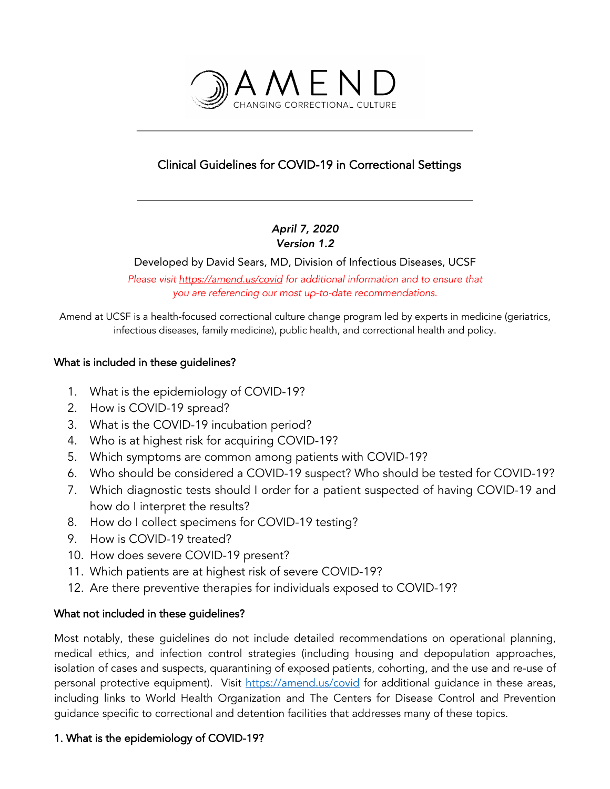

# Clinical Guidelines for COVID-19 in Correctional Settings

## *April 7, 2020*

#### *Version 1.2*

Developed by David Sears, MD, Division of Infectious Diseases, UCSF

*Please visit https://amend.us/covid for additional information and to ensure that you are referencing our most up-to-date recommendations.* 

Amend at UCSF is a health-focused correctional culture change program led by experts in medicine (geriatrics, infectious diseases, family medicine), public health, and correctional health and policy.

#### What is included in these guidelines?

- 1. What is the epidemiology of COVID-19?
- 2. How is COVID-19 spread?
- 3. What is the COVID-19 incubation period?
- 4. Who is at highest risk for acquiring COVID-19?
- 5. Which symptoms are common among patients with COVID-19?
- 6. Who should be considered a COVID-19 suspect? Who should be tested for COVID-19?
- 7. Which diagnostic tests should I order for a patient suspected of having COVID-19 and how do I interpret the results?
- 8. How do I collect specimens for COVID-19 testing?
- 9. How is COVID-19 treated?
- 10. How does severe COVID-19 present?
- 11. Which patients are at highest risk of severe COVID-19?
- 12. Are there preventive therapies for individuals exposed to COVID-19?

## What not included in these guidelines?

Most notably, these guidelines do not include detailed recommendations on operational planning, medical ethics, and infection control strategies (including housing and depopulation approaches, isolation of cases and suspects, quarantining of exposed patients, cohorting, and the use and re-use of personal protective equipment). Visit https://amend.us/covid for additional guidance in these areas, including links to World Health Organization and The Centers for Disease Control and Prevention guidance specific to correctional and detention facilities that addresses many of these topics.

## 1. What is the epidemiology of COVID-19?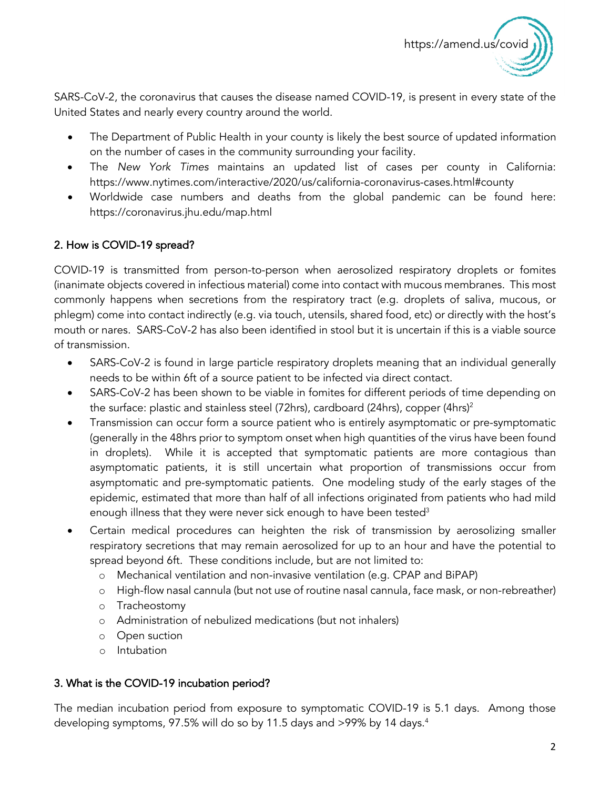

SARS-CoV-2, the coronavirus that causes the disease named COVID-19, is present in every state of the United States and nearly every country around the world.

- The Department of Public Health in your county is likely the best source of updated information on the number of cases in the community surrounding your facility.
- The *New York Times* maintains an updated list of cases per county in California: https://www.nytimes.com/interactive/2020/us/california-coronavirus-cases.html#county
- Worldwide case numbers and deaths from the global pandemic can be found here: https://coronavirus.jhu.edu/map.html

## 2. How is COVID-19 spread?

COVID-19 is transmitted from person-to-person when aerosolized respiratory droplets or fomites (inanimate objects covered in infectious material) come into contact with mucous membranes. This most commonly happens when secretions from the respiratory tract (e.g. droplets of saliva, mucous, or phlegm) come into contact indirectly (e.g. via touch, utensils, shared food, etc) or directly with the host's mouth or nares. SARS-CoV-2 has also been identified in stool but it is uncertain if this is a viable source of transmission.

- SARS-CoV-2 is found in large particle respiratory droplets meaning that an individual generally needs to be within 6ft of a source patient to be infected via direct contact.
- SARS-CoV-2 has been shown to be viable in fomites for different periods of time depending on the surface: plastic and stainless steel (72hrs), cardboard (24hrs), copper (4hrs)<sup>2</sup>
- Transmission can occur form a source patient who is entirely asymptomatic or pre-symptomatic (generally in the 48hrs prior to symptom onset when high quantities of the virus have been found in droplets). While it is accepted that symptomatic patients are more contagious than asymptomatic patients, it is still uncertain what proportion of transmissions occur from asymptomatic and pre-symptomatic patients. One modeling study of the early stages of the epidemic, estimated that more than half of all infections originated from patients who had mild enough illness that they were never sick enough to have been tested<sup>3</sup>
- Certain medical procedures can heighten the risk of transmission by aerosolizing smaller respiratory secretions that may remain aerosolized for up to an hour and have the potential to spread beyond 6ft. These conditions include, but are not limited to:
	- o Mechanical ventilation and non-invasive ventilation (e.g. CPAP and BiPAP)
	- o High-flow nasal cannula (but not use of routine nasal cannula, face mask, or non-rebreather)
	- o Tracheostomy
	- o Administration of nebulized medications (but not inhalers)
	- o Open suction
	- o Intubation

#### 3. What is the COVID-19 incubation period?

The median incubation period from exposure to symptomatic COVID-19 is 5.1 days. Among those developing symptoms, 97.5% will do so by 11.5 days and >99% by 14 days.<sup>4</sup>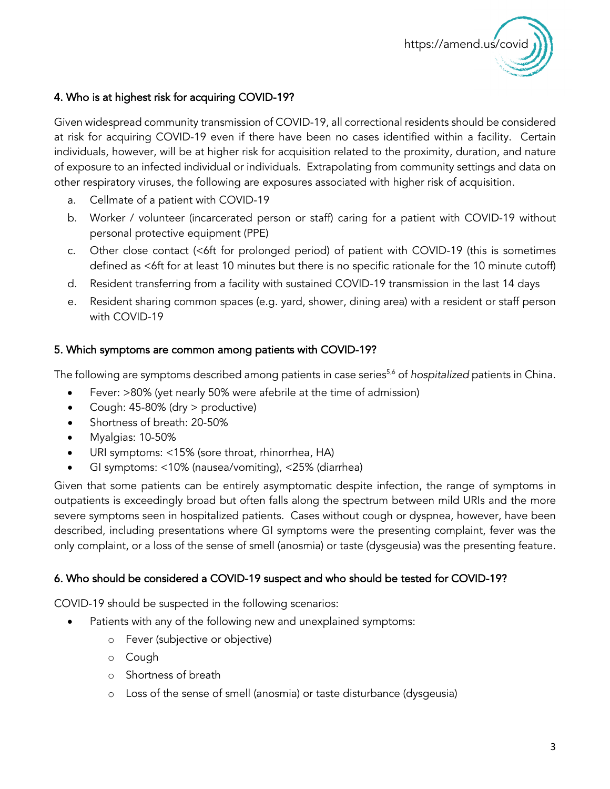

#### 4. Who is at highest risk for acquiring COVID-19?

Given widespread community transmission of COVID-19, all correctional residents should be considered at risk for acquiring COVID-19 even if there have been no cases identified within a facility. Certain individuals, however, will be at higher risk for acquisition related to the proximity, duration, and nature of exposure to an infected individual or individuals. Extrapolating from community settings and data on other respiratory viruses, the following are exposures associated with higher risk of acquisition.

- a. Cellmate of a patient with COVID-19
- b. Worker / volunteer (incarcerated person or staff) caring for a patient with COVID-19 without personal protective equipment (PPE)
- c. Other close contact (<6ft for prolonged period) of patient with COVID-19 (this is sometimes defined as <6ft for at least 10 minutes but there is no specific rationale for the 10 minute cutoff)
- d. Resident transferring from a facility with sustained COVID-19 transmission in the last 14 days
- e. Resident sharing common spaces (e.g. yard, shower, dining area) with a resident or staff person with COVID-19

#### 5. Which symptoms are common among patients with COVID-19?

The following are symptoms described among patients in case series<sup>5,6</sup> of *hospitalized* patients in China.

- Fever: >80% (yet nearly 50% were afebrile at the time of admission)
- Cough: 45-80% (dry > productive)
- Shortness of breath: 20-50%
- Myalgias: 10-50%
- URI symptoms: <15% (sore throat, rhinorrhea, HA)
- GI symptoms: <10% (nausea/vomiting), <25% (diarrhea)

Given that some patients can be entirely asymptomatic despite infection, the range of symptoms in outpatients is exceedingly broad but often falls along the spectrum between mild URIs and the more severe symptoms seen in hospitalized patients. Cases without cough or dyspnea, however, have been described, including presentations where GI symptoms were the presenting complaint, fever was the only complaint, or a loss of the sense of smell (anosmia) or taste (dysgeusia) was the presenting feature.

#### 6. Who should be considered a COVID-19 suspect and who should be tested for COVID-19?

COVID-19 should be suspected in the following scenarios:

- Patients with any of the following new and unexplained symptoms:
	- o Fever (subjective or objective)
	- o Cough
	- o Shortness of breath
	- o Loss of the sense of smell (anosmia) or taste disturbance (dysgeusia)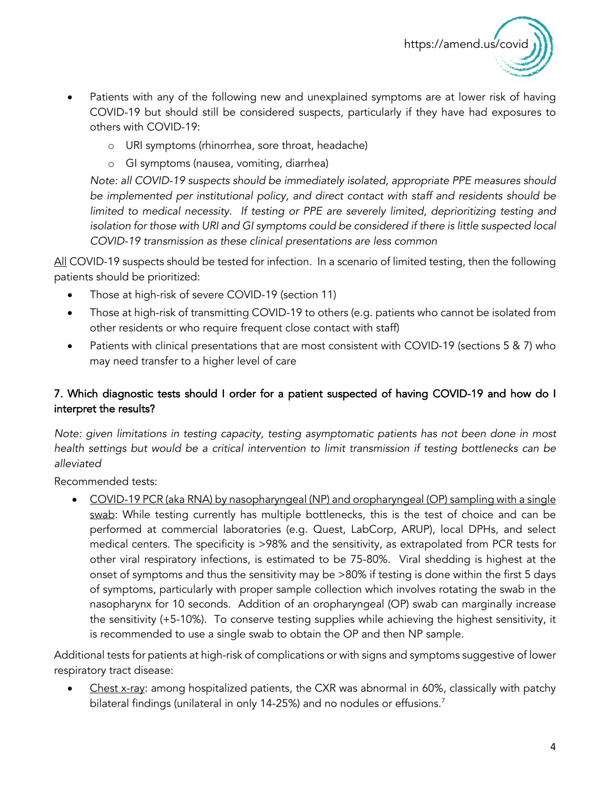

- Patients with any of the following new and unexplained symptoms are at lower risk of having COVID-19 but should still be considered suspects, particularly if they have had exposures to others with COVID-19:
	- o URI symptoms (rhinorrhea, sore throat, headache)
	- o GI symptoms (nausea, vomiting, diarrhea)

*Note: all COVID-19 suspects should be immediately isolated, appropriate PPE measures should be implemented per institutional policy, and direct contact with staff and residents should be limited to medical necessity. If testing or PPE are severely limited, deprioritizing testing and*  isolation for those with URI and GI symptoms could be considered if there is little suspected local *COVID-19 transmission as these clinical presentations are less common*

All COVID-19 suspects should be tested for infection. In a scenario of limited testing, then the following patients should be prioritized:

- Those at high-risk of severe COVID-19 (section 11)
- Those at high-risk of transmitting COVID-19 to others (e.g. patients who cannot be isolated from other residents or who require frequent close contact with staff)
- Patients with clinical presentations that are most consistent with COVID-19 (sections 5 & 7) who may need transfer to a higher level of care

## 7. Which diagnostic tests should I order for a patient suspected of having COVID-19 and how do I interpret the results?

*Note: given limitations in testing capacity, testing asymptomatic patients has not been done in most health settings but would be a critical intervention to limit transmission if testing bottlenecks can be alleviated*

Recommended tests:

• COVID-19 PCR (aka RNA) by nasopharyngeal (NP) and oropharyngeal (OP) sampling with a single swab: While testing currently has multiple bottlenecks, this is the test of choice and can be performed at commercial laboratories (e.g. Quest, LabCorp, ARUP), local DPHs, and select medical centers. The specificity is >98% and the sensitivity, as extrapolated from PCR tests for other viral respiratory infections, is estimated to be 75-80%. Viral shedding is highest at the onset of symptoms and thus the sensitivity may be >80% if testing is done within the first 5 days of symptoms, particularly with proper sample collection which involves rotating the swab in the nasopharynx for 10 seconds. Addition of an oropharyngeal (OP) swab can marginally increase the sensitivity (+5-10%). To conserve testing supplies while achieving the highest sensitivity, it is recommended to use a single swab to obtain the OP and then NP sample.

Additional tests for patients at high-risk of complications or with signs and symptoms suggestive of lower respiratory tract disease:

Chest x-ray: among hospitalized patients, the CXR was abnormal in 60%, classically with patchy bilateral findings (unilateral in only 14-25%) and no nodules or effusions.<sup>7</sup>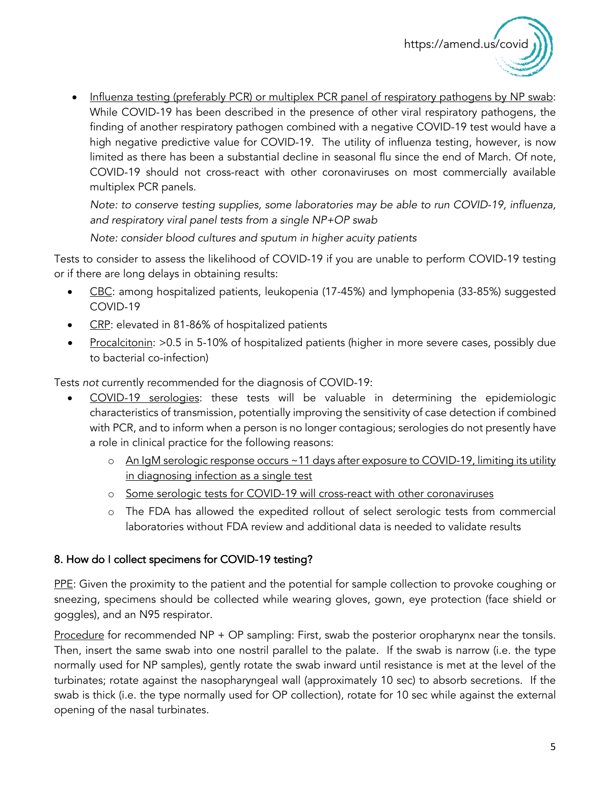

• Influenza testing (preferably PCR) or multiplex PCR panel of respiratory pathogens by NP swab: While COVID-19 has been described in the presence of other viral respiratory pathogens, the finding of another respiratory pathogen combined with a negative COVID-19 test would have a high negative predictive value for COVID-19. The utility of influenza testing, however, is now limited as there has been a substantial decline in seasonal flu since the end of March. Of note, COVID-19 should not cross-react with other coronaviruses on most commercially available multiplex PCR panels.

*Note: to conserve testing supplies, some laboratories may be able to run COVID-19, influenza, and respiratory viral panel tests from a single NP+OP swab*

*Note: consider blood cultures and sputum in higher acuity patients*

Tests to consider to assess the likelihood of COVID-19 if you are unable to perform COVID-19 testing or if there are long delays in obtaining results:

- CBC: among hospitalized patients, leukopenia (17-45%) and lymphopenia (33-85%) suggested COVID-19
- CRP: elevated in 81-86% of hospitalized patients
- Procalcitonin: > 0.5 in 5-10% of hospitalized patients (higher in more severe cases, possibly due to bacterial co-infection)

Tests *not* currently recommended for the diagnosis of COVID-19:

- COVID-19 serologies: these tests will be valuable in determining the epidemiologic characteristics of transmission, potentially improving the sensitivity of case detection if combined with PCR, and to inform when a person is no longer contagious; serologies do not presently have a role in clinical practice for the following reasons:
	- o An IgM serologic response occurs ~11 days after exposure to COVID-19, limiting its utility in diagnosing infection as a single test
	- o Some serologic tests for COVID-19 will cross-react with other coronaviruses
	- o The FDA has allowed the expedited rollout of select serologic tests from commercial laboratories without FDA review and additional data is needed to validate results

#### 8. How do I collect specimens for COVID-19 testing?

PPE: Given the proximity to the patient and the potential for sample collection to provoke coughing or sneezing, specimens should be collected while wearing gloves, gown, eye protection (face shield or goggles), and an N95 respirator.

Procedure for recommended NP + OP sampling: First, swab the posterior oropharynx near the tonsils. Then, insert the same swab into one nostril parallel to the palate. If the swab is narrow (i.e. the type normally used for NP samples), gently rotate the swab inward until resistance is met at the level of the turbinates; rotate against the nasopharyngeal wall (approximately 10 sec) to absorb secretions. If the swab is thick (i.e. the type normally used for OP collection), rotate for 10 sec while against the external opening of the nasal turbinates.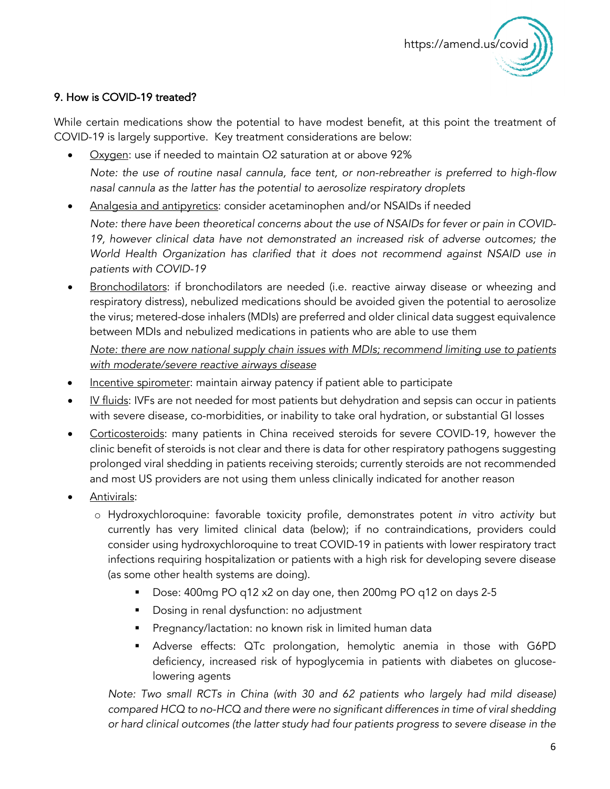

## 9. How is COVID-19 treated?

While certain medications show the potential to have modest benefit, at this point the treatment of COVID-19 is largely supportive. Key treatment considerations are below:

- Oxygen: use if needed to maintain O2 saturation at or above 92% *Note: the use of routine nasal cannula, face tent, or non-rebreather is preferred to high-flow nasal cannula as the latter has the potential to aerosolize respiratory droplets*
- Analgesia and antipyretics: consider acetaminophen and/or NSAIDs if needed

*Note: there have been theoretical concerns about the use of NSAIDs for fever or pain in COVID-19, however clinical data have not demonstrated an increased risk of adverse outcomes; the World Health Organization has clarified that it does not recommend against NSAID use in patients with COVID-19*

Bronchodilators: if bronchodilators are needed (i.e. reactive airway disease or wheezing and respiratory distress), nebulized medications should be avoided given the potential to aerosolize the virus; metered-dose inhalers (MDIs) are preferred and older clinical data suggest equivalence between MDIs and nebulized medications in patients who are able to use them

*Note: there are now national supply chain issues with MDIs; recommend limiting use to patients with moderate/severe reactive airways disease*

- Incentive spirometer: maintain airway patency if patient able to participate
- IV fluids: IVFs are not needed for most patients but dehydration and sepsis can occur in patients with severe disease, co-morbidities, or inability to take oral hydration, or substantial GI losses
- Corticosteroids: many patients in China received steroids for severe COVID-19, however the clinic benefit of steroids is not clear and there is data for other respiratory pathogens suggesting prolonged viral shedding in patients receiving steroids; currently steroids are not recommended and most US providers are not using them unless clinically indicated for another reason
- Antivirals:
	- o Hydroxychloroquine: favorable toxicity profile, demonstrates potent *in* vitro *activity* but currently has very limited clinical data (below); if no contraindications, providers could consider using hydroxychloroquine to treat COVID-19 in patients with lower respiratory tract infections requiring hospitalization or patients with a high risk for developing severe disease (as some other health systems are doing).
		- Dose: 400mg PO q12 x2 on day one, then 200mg PO q12 on days 2-5
		- **•** Dosing in renal dysfunction: no adjustment
		- Pregnancy/lactation: no known risk in limited human data
		- § Adverse effects: QTc prolongation, hemolytic anemia in those with G6PD deficiency, increased risk of hypoglycemia in patients with diabetes on glucoselowering agents

*Note: Two small RCTs in China (with 30 and 62 patients who largely had mild disease) compared HCQ to no-HCQ and there were no significant differences in time of viral shedding or hard clinical outcomes (the latter study had four patients progress to severe disease in the*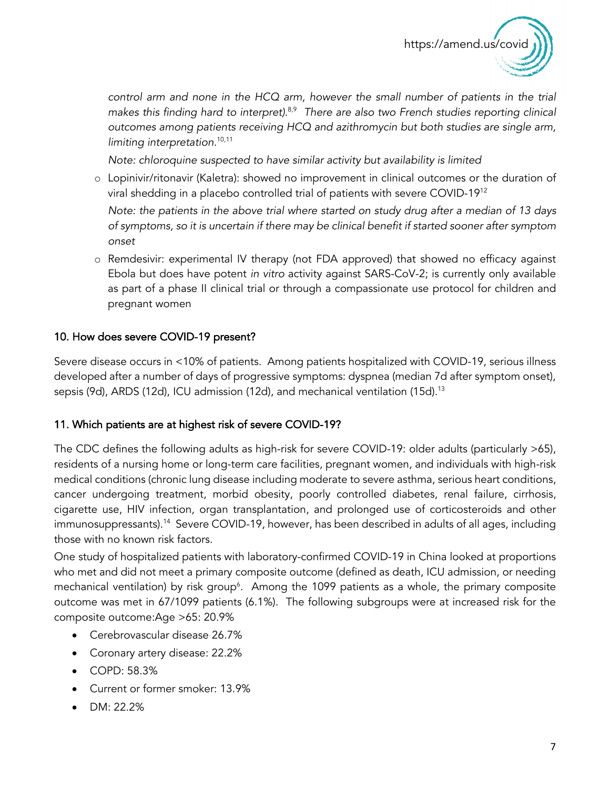

*control arm and none in the HCQ arm, however the small number of patients in the trial makes this finding hard to interpret).*8,9 *There are also two French studies reporting clinical outcomes among patients receiving HCQ and azithromycin but both studies are single arm, limiting interpretation.*10,11

*Note: chloroquine suspected to have similar activity but availability is limited*

o Lopinivir/ritonavir (Kaletra): showed no improvement in clinical outcomes or the duration of viral shedding in a placebo controlled trial of patients with severe COVID-1912

*Note: the patients in the above trial where started on study drug after a median of 13 days of symptoms, so it is uncertain if there may be clinical benefit if started sooner after symptom onset*

o Remdesivir: experimental IV therapy (not FDA approved) that showed no efficacy against Ebola but does have potent *in vitro* activity against SARS-CoV-2; is currently only available as part of a phase II clinical trial or through a compassionate use protocol for children and pregnant women

#### 10. How does severe COVID-19 present?

Severe disease occurs in <10% of patients. Among patients hospitalized with COVID-19, serious illness developed after a number of days of progressive symptoms: dyspnea (median 7d after symptom onset), sepsis (9d), ARDS (12d), ICU admission (12d), and mechanical ventilation (15d).<sup>13</sup>

#### 11. Which patients are at highest risk of severe COVID-19?

The CDC defines the following adults as high-risk for severe COVID-19: older adults (particularly >65), residents of a nursing home or long-term care facilities, pregnant women, and individuals with high-risk medical conditions (chronic lung disease including moderate to severe asthma, serious heart conditions, cancer undergoing treatment, morbid obesity, poorly controlled diabetes, renal failure, cirrhosis, cigarette use, HIV infection, organ transplantation, and prolonged use of corticosteroids and other immunosuppressants).<sup>14</sup> Severe COVID-19, however, has been described in adults of all ages, including those with no known risk factors.

One study of hospitalized patients with laboratory-confirmed COVID-19 in China looked at proportions who met and did not meet a primary composite outcome (defined as death, ICU admission, or needing mechanical ventilation) by risk group<sup>6</sup>. Among the 1099 patients as a whole, the primary composite outcome was met in 67/1099 patients (6.1%). The following subgroups were at increased risk for the composite outcome:Age >65: 20.9%

- Cerebrovascular disease 26.7%
- Coronary artery disease: 22.2%
- COPD: 58.3%
- Current or former smoker: 13.9%
- DM: 22.2%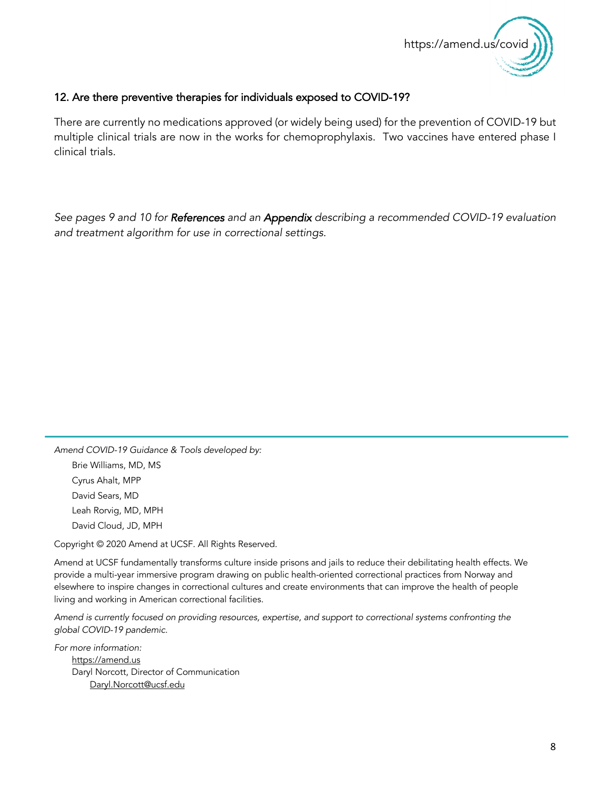

#### 12. Are there preventive therapies for individuals exposed to COVID-19?

There are currently no medications approved (or widely being used) for the prevention of COVID-19 but multiple clinical trials are now in the works for chemoprophylaxis. Two vaccines have entered phase I clinical trials.

*See pages 9 and 10 for References and an Appendix describing a recommended COVID-19 evaluation and treatment algorithm for use in correctional settings.*

*Amend COVID-19 Guidance & Tools developed by:*  Brie Williams, MD, MS Cyrus Ahalt, MPP David Sears, MD Leah Rorvig, MD, MPH David Cloud, JD, MPH

 $\overline{a}$ 

Copyright © 2020 Amend at UCSF. All Rights Reserved.

Amend at UCSF fundamentally transforms culture inside prisons and jails to reduce their debilitating health effects. We provide a multi-year immersive program drawing on public health-oriented correctional practices from Norway and elsewhere to inspire changes in correctional cultures and create environments that can improve the health of people living and working in American correctional facilities.

*Amend is currently focused on providing resources, expertise, and support to correctional systems confronting the global COVID-19 pandemic.* 

*For more information:* https://amend.us Daryl Norcott, Director of Communication Daryl.Norcott@ucsf.edu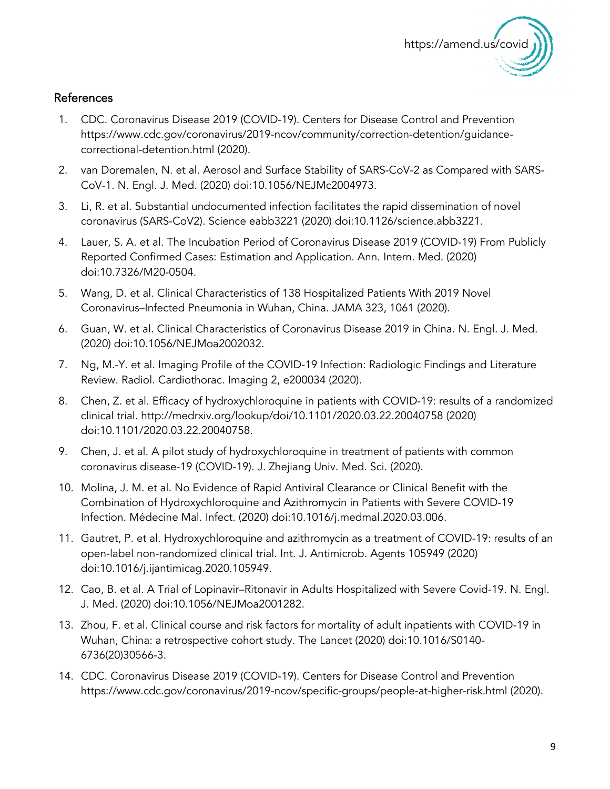

## References

- 1. CDC. Coronavirus Disease 2019 (COVID-19). Centers for Disease Control and Prevention https://www.cdc.gov/coronavirus/2019-ncov/community/correction-detention/guidancecorrectional-detention.html (2020).
- 2. van Doremalen, N. et al. Aerosol and Surface Stability of SARS-CoV-2 as Compared with SARS-CoV-1. N. Engl. J. Med. (2020) doi:10.1056/NEJMc2004973.
- 3. Li, R. et al. Substantial undocumented infection facilitates the rapid dissemination of novel coronavirus (SARS-CoV2). Science eabb3221 (2020) doi:10.1126/science.abb3221.
- 4. Lauer, S. A. et al. The Incubation Period of Coronavirus Disease 2019 (COVID-19) From Publicly Reported Confirmed Cases: Estimation and Application. Ann. Intern. Med. (2020) doi:10.7326/M20-0504.
- 5. Wang, D. et al. Clinical Characteristics of 138 Hospitalized Patients With 2019 Novel Coronavirus–Infected Pneumonia in Wuhan, China. JAMA 323, 1061 (2020).
- 6. Guan, W. et al. Clinical Characteristics of Coronavirus Disease 2019 in China. N. Engl. J. Med. (2020) doi:10.1056/NEJMoa2002032.
- 7. Ng, M.-Y. et al. Imaging Profile of the COVID-19 Infection: Radiologic Findings and Literature Review. Radiol. Cardiothorac. Imaging 2, e200034 (2020).
- 8. Chen, Z. et al. Efficacy of hydroxychloroquine in patients with COVID-19: results of a randomized clinical trial. http://medrxiv.org/lookup/doi/10.1101/2020.03.22.20040758 (2020) doi:10.1101/2020.03.22.20040758.
- 9. Chen, J. et al. A pilot study of hydroxychloroquine in treatment of patients with common coronavirus disease-19 (COVID-19). J. Zhejiang Univ. Med. Sci. (2020).
- 10. Molina, J. M. et al. No Evidence of Rapid Antiviral Clearance or Clinical Benefit with the Combination of Hydroxychloroquine and Azithromycin in Patients with Severe COVID-19 Infection. Médecine Mal. Infect. (2020) doi:10.1016/j.medmal.2020.03.006.
- 11. Gautret, P. et al. Hydroxychloroquine and azithromycin as a treatment of COVID-19: results of an open-label non-randomized clinical trial. Int. J. Antimicrob. Agents 105949 (2020) doi:10.1016/j.ijantimicag.2020.105949.
- 12. Cao, B. et al. A Trial of Lopinavir–Ritonavir in Adults Hospitalized with Severe Covid-19. N. Engl. J. Med. (2020) doi:10.1056/NEJMoa2001282.
- 13. Zhou, F. et al. Clinical course and risk factors for mortality of adult inpatients with COVID-19 in Wuhan, China: a retrospective cohort study. The Lancet (2020) doi:10.1016/S0140- 6736(20)30566-3.
- 14. CDC. Coronavirus Disease 2019 (COVID-19). Centers for Disease Control and Prevention https://www.cdc.gov/coronavirus/2019-ncov/specific-groups/people-at-higher-risk.html (2020).